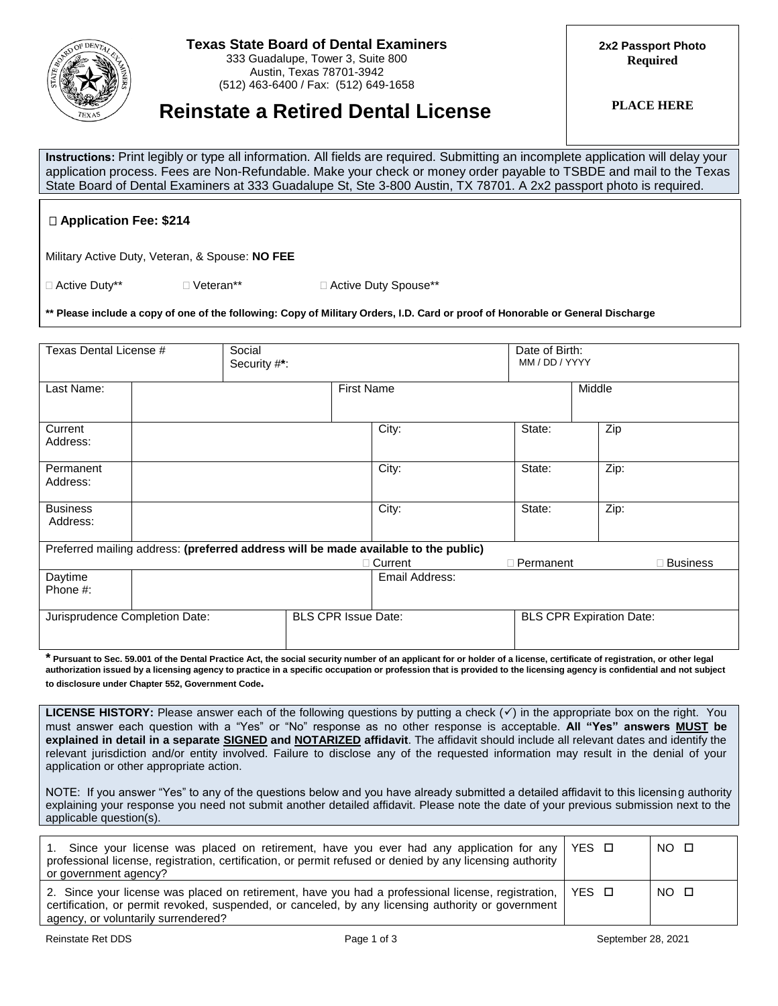

## **Texas State Board of Dental Examiners**

333 Guadalupe, Tower 3, Suite 800 Austin, Texas 78701-3942 (512) 463-6400 / Fax: (512) 649-1658 **2x2 Passport Photo Required**

# **PLACE HERE Reinstate a Retired Dental License**

**Instructions:** Print legibly or type all information. All fields are required. Submitting an incomplete application will delay your application process. Fees are Non-Refundable. Make your check or money order payable to TSBDE and mail to the Texas State Board of Dental Examiners at 333 Guadalupe St, Ste 3-800 Austin, TX 78701. A 2x2 passport photo is required.

## **Application Fee: \$214**

Military Active Duty, Veteran, & Spouse: **NO FEE**

□ Active Duty\*\* 
<br>
■ Veteran\*\* 
■ Veteran\*\* 
■ Active Duty Spouse\*\*

**\*\* Please include a copy of one of the following: Copy of Military Orders, I.D. Card or proof of Honorable or General Discharge**

| Texas Dental License #         |  | Social<br>Security #*: |                            |                                                                                     |                  | Date of Birth:<br>MM / DD / YYYY |                 |  |
|--------------------------------|--|------------------------|----------------------------|-------------------------------------------------------------------------------------|------------------|----------------------------------|-----------------|--|
| Last Name:                     |  |                        |                            | <b>First Name</b>                                                                   |                  | Middle                           |                 |  |
| Current<br>Address:            |  |                        |                            | City:                                                                               | State:           |                                  | Zip             |  |
| Permanent<br>Address:          |  |                        |                            | City:                                                                               | State:           |                                  | Zip:            |  |
| <b>Business</b><br>Address:    |  |                        |                            | City:                                                                               | State:           |                                  | Zip:            |  |
|                                |  |                        |                            | Preferred mailing address: (preferred address will be made available to the public) |                  |                                  |                 |  |
|                                |  |                        |                            | □ Current                                                                           | $\Box$ Permanent |                                  | $\Box$ Business |  |
| Daytime<br>Phone #:            |  |                        |                            | Email Address:                                                                      |                  |                                  |                 |  |
| Jurisprudence Completion Date: |  |                        | <b>BLS CPR Issue Date:</b> |                                                                                     |                  | <b>BLS CPR Expiration Date:</b>  |                 |  |

**\* Pursuant to Sec. 59.001 of the Dental Practice Act, the social security number of an applicant for or holder of a license, certificate of registration, or other legal authorization issued by a licensing agency to practice in a specific occupation or profession that is provided to the licensing agency is confidential and not subject to disclosure under Chapter 552, Government Code.**

**LICENSE HISTORY:** Please answer each of the following questions by putting a check  $(v)$  in the appropriate box on the right. You must answer each question with a "Yes" or "No" response as no other response is acceptable. **All "Yes" answers MUST be explained in detail in a separate SIGNED and NOTARIZED affidavit**. The affidavit should include all relevant dates and identify the relevant jurisdiction and/or entity involved. Failure to disclose any of the requested information may result in the denial of your application or other appropriate action.

NOTE: If you answer "Yes" to any of the questions below and you have already submitted a detailed affidavit to this licensing authority explaining your response you need not submit another detailed affidavit. Please note the date of your previous submission next to the applicable question(s).

| 1. Since your license was placed on retirement, have you ever had any application for any   YES $\Box$<br>professional license, registration, certification, or permit refused or denied by any licensing authority<br>or government agency?                       |  | NO O |
|--------------------------------------------------------------------------------------------------------------------------------------------------------------------------------------------------------------------------------------------------------------------|--|------|
| 2. Since your license was placed on retirement, have you had a professional license, registration, $\vert$ YES $\Box$<br>certification, or permit revoked, suspended, or canceled, by any licensing authority or government<br>agency, or voluntarily surrendered? |  | NO O |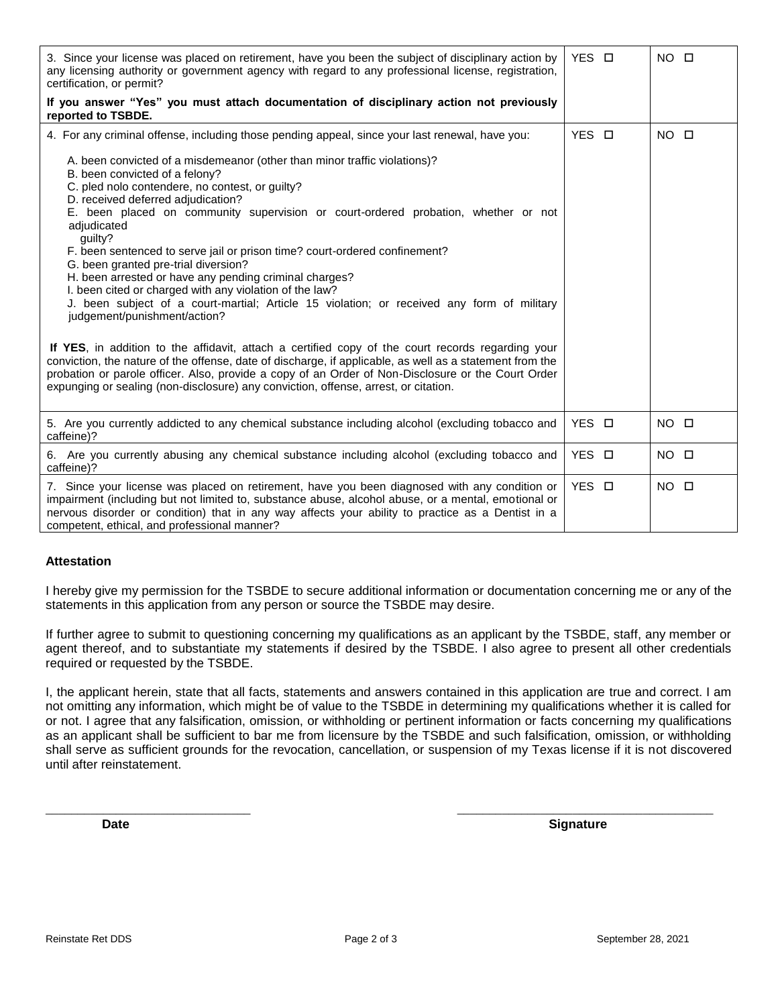| 3. Since your license was placed on retirement, have you been the subject of disciplinary action by<br>any licensing authority or government agency with regard to any professional license, registration,<br>certification, or permit?                                                                                                                                                                                                                                                                                                                                                                                                                                                                                                                                                                                                                                                                                                                                                                                                                                                                     | YES O | $NO$ $\square$      |
|-------------------------------------------------------------------------------------------------------------------------------------------------------------------------------------------------------------------------------------------------------------------------------------------------------------------------------------------------------------------------------------------------------------------------------------------------------------------------------------------------------------------------------------------------------------------------------------------------------------------------------------------------------------------------------------------------------------------------------------------------------------------------------------------------------------------------------------------------------------------------------------------------------------------------------------------------------------------------------------------------------------------------------------------------------------------------------------------------------------|-------|---------------------|
| If you answer "Yes" you must attach documentation of disciplinary action not previously<br>reported to TSBDE.                                                                                                                                                                                                                                                                                                                                                                                                                                                                                                                                                                                                                                                                                                                                                                                                                                                                                                                                                                                               |       |                     |
| 4. For any criminal offense, including those pending appeal, since your last renewal, have you:                                                                                                                                                                                                                                                                                                                                                                                                                                                                                                                                                                                                                                                                                                                                                                                                                                                                                                                                                                                                             | YES O | NO.<br>$\Box$       |
| A. been convicted of a misdemeanor (other than minor traffic violations)?<br>B. been convicted of a felony?<br>C. pled nolo contendere, no contest, or guilty?<br>D. received deferred adjudication?<br>E. been placed on community supervision or court-ordered probation, whether or not<br>adjudicated<br>quilty?<br>F. been sentenced to serve jail or prison time? court-ordered confinement?<br>G. been granted pre-trial diversion?<br>H. been arrested or have any pending criminal charges?<br>I. been cited or charged with any violation of the law?<br>J. been subject of a court-martial; Article 15 violation; or received any form of military<br>judgement/punishment/action?<br>If YES, in addition to the affidavit, attach a certified copy of the court records regarding your<br>conviction, the nature of the offense, date of discharge, if applicable, as well as a statement from the<br>probation or parole officer. Also, provide a copy of an Order of Non-Disclosure or the Court Order<br>expunging or sealing (non-disclosure) any conviction, offense, arrest, or citation. |       |                     |
| 5. Are you currently addicted to any chemical substance including alcohol (excluding tobacco and<br>caffeine)?                                                                                                                                                                                                                                                                                                                                                                                                                                                                                                                                                                                                                                                                                                                                                                                                                                                                                                                                                                                              | YES O | <b>NO</b><br>$\Box$ |
| 6. Are you currently abusing any chemical substance including alcohol (excluding tobacco and<br>caffeine)?                                                                                                                                                                                                                                                                                                                                                                                                                                                                                                                                                                                                                                                                                                                                                                                                                                                                                                                                                                                                  | YES O | $NO$ $\Box$         |
| 7. Since your license was placed on retirement, have you been diagnosed with any condition or<br>impairment (including but not limited to, substance abuse, alcohol abuse, or a mental, emotional or<br>nervous disorder or condition) that in any way affects your ability to practice as a Dentist in a<br>competent, ethical, and professional manner?                                                                                                                                                                                                                                                                                                                                                                                                                                                                                                                                                                                                                                                                                                                                                   | YES O | $NO$ $\square$      |

## **Attestation**

I hereby give my permission for the TSBDE to secure additional information or documentation concerning me or any of the statements in this application from any person or source the TSBDE may desire.

If further agree to submit to questioning concerning my qualifications as an applicant by the TSBDE, staff, any member or agent thereof, and to substantiate my statements if desired by the TSBDE. I also agree to present all other credentials required or requested by the TSBDE.

I, the applicant herein, state that all facts, statements and answers contained in this application are true and correct. I am not omitting any information, which might be of value to the TSBDE in determining my qualifications whether it is called for or not. I agree that any falsification, omission, or withholding or pertinent information or facts concerning my qualifications as an applicant shall be sufficient to bar me from licensure by the TSBDE and such falsification, omission, or withholding shall serve as sufficient grounds for the revocation, cancellation, or suspension of my Texas license if it is not discovered until after reinstatement.

\_\_\_\_\_\_\_\_\_\_\_\_\_\_\_\_\_\_\_\_\_\_\_\_\_\_\_\_\_\_\_\_ \_\_\_\_\_\_\_\_\_\_\_\_\_\_\_\_\_\_\_\_\_\_\_\_\_\_\_\_\_\_\_\_\_\_\_\_\_\_\_\_

**Date Contract Contract Contract Contract Contract Contract Contract Contract Contract Contract Contract Contract Contract Contract Contract Contract Contract Contract Contract Contract Contract Contract Contract Contrac**